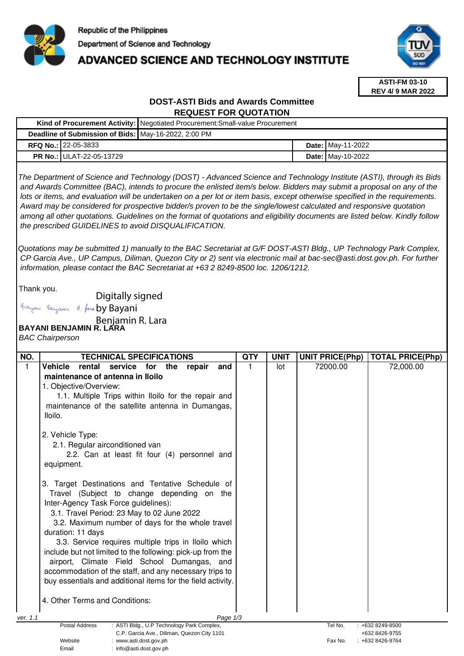

# **ADVANCED SCIENCE AND TECHNOLOGY INSTITUTE**



**ASTI-FM 03-10 REV 4/ 9 MAR 2022**

# **DOST-ASTI Bids and Awards Committee REQUEST FOR QUOTATION**

|                                                                                                                                                                                                                                                                                                                                                                                                                                                                                                      |                                 | Kind of Procurement Activity: Negotiated Procurement: Small-value Procurement |  |                   |  |  |  |
|------------------------------------------------------------------------------------------------------------------------------------------------------------------------------------------------------------------------------------------------------------------------------------------------------------------------------------------------------------------------------------------------------------------------------------------------------------------------------------------------------|---------------------------------|-------------------------------------------------------------------------------|--|-------------------|--|--|--|
| Deadline of Submission of Bids: May-16-2022, 2:00 PM                                                                                                                                                                                                                                                                                                                                                                                                                                                 |                                 |                                                                               |  |                   |  |  |  |
|                                                                                                                                                                                                                                                                                                                                                                                                                                                                                                      | <b>RFQ No.: 22-05-3833</b>      |                                                                               |  | Date: May-11-2022 |  |  |  |
|                                                                                                                                                                                                                                                                                                                                                                                                                                                                                                      | <b>PR No.: ULAT-22-05-13729</b> |                                                                               |  | Date: May-10-2022 |  |  |  |
| The Department of Science and Technology (DOST) - Advanced Science and Technology Institute (ASTI), through its Bids<br>and Awards Committee (BAC), intends to procure the enlisted item/s below. Bidders may submit a proposal on any of the<br>lots or items, and evaluation will be undertaken on a per lot or item basis, except otherwise specified in the requirements.<br>Award may be considered for prospective bidder/s proven to be the single/lowest calculated and responsive quotation |                                 |                                                                               |  |                   |  |  |  |

 among all other quotations. Guidelines on the format of quotations and eligibility documents are listed below. Kindly follow the prescribed GUIDELINES to avoid DISQUALIFICATION.

Quotations may be submitted 1) manually to the BAC Secretariat at G/F DOST-ASTI Bldg., UP Technology Park Complex, CP Garcia Ave., UP Campus, Diliman, Quezon City or 2) sent via electronic mail at bac-sec@asti.dost.gov.ph. For further information, please contact the BAC Secretariat at +63 2 8249-8500 loc. 1206/1212.

Thank you.

Digitally signed

Bayani Benjamin R. fan by Bayani

Benjamin R. Lara<br>**BAYANI BENJAMIN R. LARA** 

Email : info@asti.dost.gov.ph

BAC Chairperson

| NO.      | <b>TECHNICAL SPECIFICATIONS</b>                                     | <b>QTY</b> | <b>UNIT</b> | <b>UNIT PRICE(Php)</b> | <b>TOTAL PRICE(Php)</b> |
|----------|---------------------------------------------------------------------|------------|-------------|------------------------|-------------------------|
| 1        | <b>Vehicle</b><br>service<br>rental<br>for<br>the<br>repair<br>and  |            | lot         | 72000.00               | 72,000.00               |
|          | maintenance of antenna in Iloilo                                    |            |             |                        |                         |
|          | 1. Objective/Overview:                                              |            |             |                        |                         |
|          | 1.1. Multiple Trips within Iloilo for the repair and                |            |             |                        |                         |
|          | maintenance of the satellite antenna in Dumangas,                   |            |             |                        |                         |
|          | lloilo.                                                             |            |             |                        |                         |
|          | 2. Vehicle Type:                                                    |            |             |                        |                         |
|          | 2.1. Regular airconditioned van                                     |            |             |                        |                         |
|          | 2.2. Can at least fit four (4) personnel and                        |            |             |                        |                         |
|          | equipment.                                                          |            |             |                        |                         |
|          |                                                                     |            |             |                        |                         |
|          | 3. Target Destinations and Tentative Schedule of                    |            |             |                        |                         |
|          | Travel (Subject to change depending on the                          |            |             |                        |                         |
|          | Inter-Agency Task Force guidelines):                                |            |             |                        |                         |
|          | 3.1. Travel Period: 23 May to 02 June 2022                          |            |             |                        |                         |
|          | 3.2. Maximum number of days for the whole travel                    |            |             |                        |                         |
|          | duration: 11 days                                                   |            |             |                        |                         |
|          | 3.3. Service requires multiple trips in Iloilo which                |            |             |                        |                         |
|          | include but not limited to the following: pick-up from the          |            |             |                        |                         |
|          | airport, Climate Field School Dumangas, and                         |            |             |                        |                         |
|          | accommodation of the staff, and any necessary trips to              |            |             |                        |                         |
|          | buy essentials and additional items for the field activity.         |            |             |                        |                         |
|          |                                                                     |            |             |                        |                         |
|          | 4. Other Terms and Conditions:                                      |            |             |                        |                         |
| ver. 1.1 | Page 1/3                                                            |            |             |                        |                         |
|          | <b>Postal Address</b><br>: ASTI Bldg., U.P Technology Park Complex, |            |             | Tel No.                | : +632 8249-8500        |
|          | C.P. Garcia Ave., Diliman, Quezon City 1101                         |            |             |                        | +632 8426-9755          |
|          | Website<br>: www.asti.dost.gov.ph                                   |            |             | Fax No.                | : +632 8426-9764        |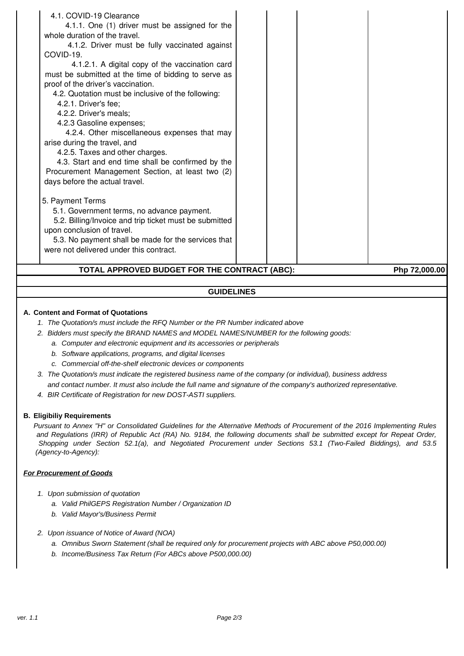| 4.2.2. Driver's meals;<br>4.2.3 Gasoline expenses;<br>4.2.4. Other miscellaneous expenses that may<br>arise during the travel, and<br>4.2.5. Taxes and other charges.<br>4.3. Start and end time shall be confirmed by the<br>Procurement Management Section, at least two (2)<br>days before the actual travel.<br>5. Payment Terms<br>5.1. Government terms, no advance payment.<br>5.2. Billing/Invoice and trip ticket must be submitted<br>upon conclusion of travel.<br>5.3. No payment shall be made for the services that<br>were not delivered under this contract. |  |
|------------------------------------------------------------------------------------------------------------------------------------------------------------------------------------------------------------------------------------------------------------------------------------------------------------------------------------------------------------------------------------------------------------------------------------------------------------------------------------------------------------------------------------------------------------------------------|--|
| 4.1. COVID-19 Clearance<br>4.1.1. One (1) driver must be assigned for the<br>whole duration of the travel.<br>4.1.2. Driver must be fully vaccinated against<br>COVID-19.<br>4.1.2.1. A digital copy of the vaccination card<br>must be submitted at the time of bidding to serve as<br>proof of the driver's vaccination.<br>4.2. Quotation must be inclusive of the following:<br>4.2.1. Driver's fee;                                                                                                                                                                     |  |

#### **GUIDELINES**

# **A. Content and Format of Quotations**

- 1. The Quotation/s must include the RFQ Number or the PR Number indicated above
- 2. Bidders must specify the BRAND NAMES and MODEL NAMES/NUMBER for the following goods:
	- a. Computer and electronic equipment and its accessories or peripherals
	- b. Software applications, programs, and digital licenses
	- c. Commercial off-the-shelf electronic devices or components
- 3. The Quotation/s must indicate the registered business name of the company (or individual), business address
- and contact number. It must also include the full name and signature of the company's authorized representative.
- 4. BIR Certificate of Registration for new DOST-ASTI suppliers.

#### **B. Eligibiliy Requirements**

Pursuant to Annex "H" or Consolidated Guidelines for the Alternative Methods of Procurement of the 2016 Implementing Rules and Regulations (IRR) of Republic Act (RA) No. 9184, the following documents shall be submitted except for Repeat Order, Shopping under Section 52.1(a), and Negotiated Procurement under Sections 53.1 (Two-Failed Biddings), and 53.5 (Agency-to-Agency):

#### **For Procurement of Goods**

- 1. Upon submission of quotation
	- a. Valid PhilGEPS Registration Number / Organization ID
	- b. Valid Mayor's/Business Permit
- 2. Upon issuance of Notice of Award (NOA)
	- a. Omnibus Sworn Statement (shall be required only for procurement projects with ABC above P50,000.00)
	- b. Income/Business Tax Return (For ABCs above P500,000.00)